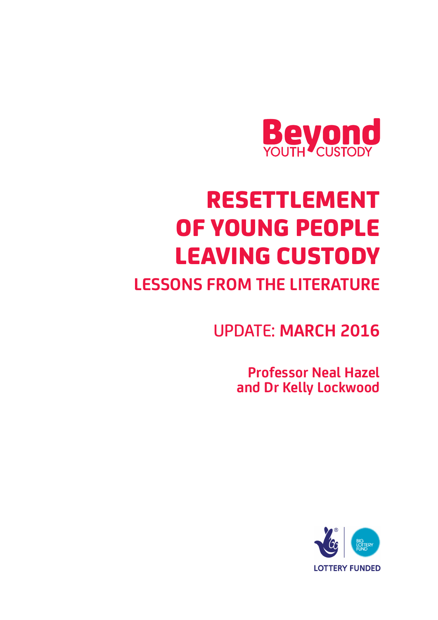

# RESETTLEMENT OF YOUNG PEOPLE LEAVING CUSTODY

## **LESSONS FROM THE LITERATURE**

UPDATE: **MARCH 2016**

 **Professor Neal Hazel and Dr Kelly Lockwood** 

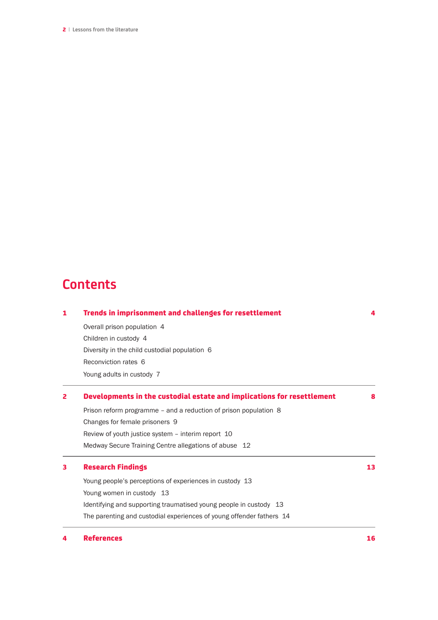2| **Lessons from the literature**

### **Contents**

| 1 | Trends in imprisonment and challenges for resettlement                                                |    |  |  |  |  |  |
|---|-------------------------------------------------------------------------------------------------------|----|--|--|--|--|--|
|   | Overall prison population 4<br>Children in custody 4<br>Diversity in the child custodial population 6 |    |  |  |  |  |  |
|   |                                                                                                       |    |  |  |  |  |  |
|   |                                                                                                       |    |  |  |  |  |  |
|   | Reconviction rates 6                                                                                  |    |  |  |  |  |  |
|   | Young adults in custody 7                                                                             |    |  |  |  |  |  |
| 2 | Developments in the custodial estate and implications for resettlement                                |    |  |  |  |  |  |
|   | Prison reform programme - and a reduction of prison population 8                                      |    |  |  |  |  |  |
|   | Changes for female prisoners 9                                                                        |    |  |  |  |  |  |
|   | Review of youth justice system - interim report 10                                                    |    |  |  |  |  |  |
|   | Medway Secure Training Centre allegations of abuse 12                                                 |    |  |  |  |  |  |
| з | <b>Research Findings</b>                                                                              |    |  |  |  |  |  |
|   | Young people's perceptions of experiences in custody 13                                               |    |  |  |  |  |  |
|   | Young women in custody 13                                                                             |    |  |  |  |  |  |
|   | Identifying and supporting traumatised young people in custody 13                                     |    |  |  |  |  |  |
|   | The parenting and custodial experiences of young offender fathers 14                                  |    |  |  |  |  |  |
|   | <b>References</b>                                                                                     | 16 |  |  |  |  |  |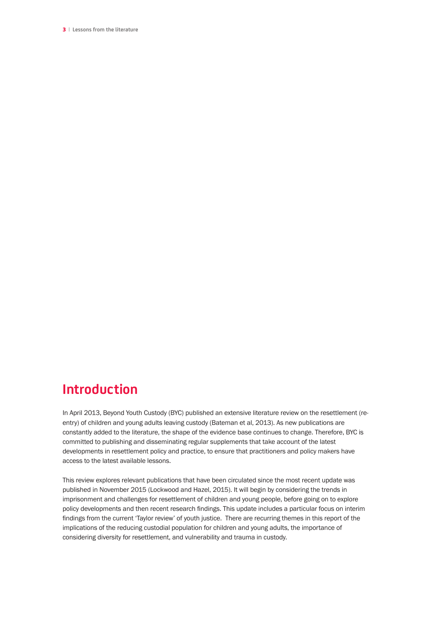3| **Lessons from the literature**

### **Introduction**

In April 2013, Beyond Youth Custody (BYC) published an extensive literature review on the resettlement (reentry) of children and young adults leaving custody (Bateman et al, 2013). As new publications are constantly added to the literature, the shape of the evidence base continues to change. Therefore, BYC is committed to publishing and disseminating regular supplements that take account of the latest developments in resettlement policy and practice, to ensure that practitioners and policy makers have access to the latest available lessons.

This review explores relevant publications that have been circulated since the most recent update was published in November 2015 (Lockwood and Hazel, 2015). It will begin by considering the trends in imprisonment and challenges for resettlement of children and young people, before going on to explore policy developments and then recent research findings. This update includes a particular focus on interim findings from the current 'Taylor review' of youth justice. There are recurring themes in this report of the implications of the reducing custodial population for children and young adults, the importance of considering diversity for resettlement, and vulnerability and trauma in custody.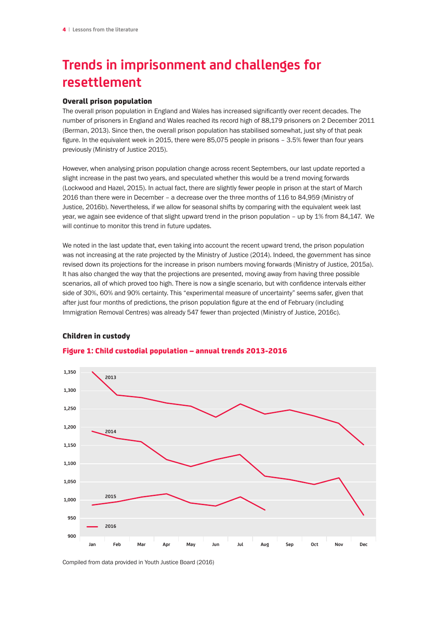### **Trends in imprisonment and challenges for resettlement**

### Overall prison population

The overall prison population in England and Wales has increased significantly over recent decades. The number of prisoners in England and Wales reached its record high of 88,179 prisoners on 2 December 2011 (Berman, 2013). Since then, the overall prison population has stabilised somewhat, just shy of that peak figure. In the equivalent week in 2015, there were 85,075 people in prisons – 3.5% fewer than four years previously (Ministry of Justice 2015).

However, when analysing prison population change across recent Septembers, our last update reported a slight increase in the past two years, and speculated whether this would be a trend moving forwards (Lockwood and Hazel, 2015). In actual fact, there are slightly fewer people in prison at the start of March 2016 than there were in December – a decrease over the three months of 116 to 84,959 (Ministry of Justice, 2016b). Nevertheless, if we allow for seasonal shifts by comparing with the equivalent week last year, we again see evidence of that slight upward trend in the prison population – up by 1% from 84,147. We will continue to monitor this trend in future updates.

We noted in the last update that, even taking into account the recent upward trend, the prison population was not increasing at the rate projected by the Ministry of Justice (2014). Indeed, the government has since revised down its projections for the increase in prison numbers moving forwards (Ministry of Justice, 2015a). It has also changed the way that the projections are presented, moving away from having three possible scenarios, all of which proved too high. There is now a single scenario, but with confidence intervals either side of 30%, 60% and 90% certainty. This "experimental measure of uncertainty" seems safer, given that after just four months of predictions, the prison population figure at the end of February (including Immigration Removal Centres) was already 547 fewer than projected (Ministry of Justice, 2016c).

### Children in custody



### Figure 1: Child custodial population – annual trends 2013-2016

Compiled from data provided in Youth Justice Board (2016)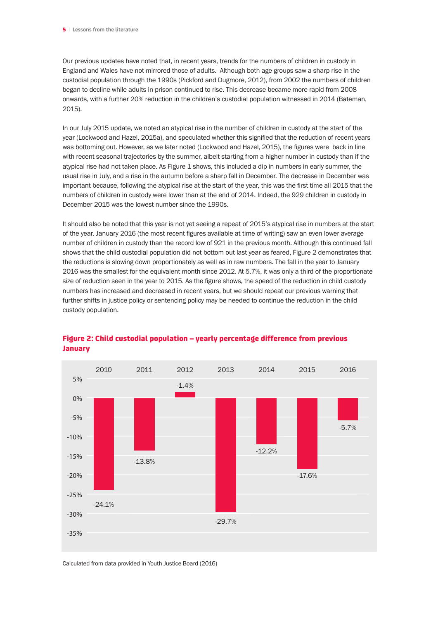Our previous updates have noted that, in recent years, trends for the numbers of children in custody in England and Wales have not mirrored those of adults. Although both age groups saw a sharp rise in the custodial population through the 1990s (Pickford and Dugmore, 2012), from 2002 the numbers of children began to decline while adults in prison continued to rise. This decrease became more rapid from 2008 onwards, with a further 20% reduction in the children's custodial population witnessed in 2014 (Bateman, 2015).

In our July 2015 update, we noted an atypical rise in the number of children in custody at the start of the year (Lockwood and Hazel, 2015a), and speculated whether this signified that the reduction of recent years was bottoming out. However, as we later noted (Lockwood and Hazel, 2015), the figures were back in line with recent seasonal trajectories by the summer, albeit starting from a higher number in custody than if the atypical rise had not taken place. As Figure 1 shows, this included a dip in numbers in early summer, the usual rise in July, and a rise in the autumn before a sharp fall in December. The decrease in December was important because, following the atypical rise at the start of the year, this was the first time all 2015 that the numbers of children in custody were lower than at the end of 2014. Indeed, the 929 children in custody in December 2015 was the lowest number since the 1990s.

It should also be noted that this year is not yet seeing a repeat of 2015's atypical rise in numbers at the start of the year. January 2016 (the most recent figures available at time of writing) saw an even lower average number of children in custody than the record low of 921 in the previous month. Although this continued fall shows that the child custodial population did not bottom out last year as feared, Figure 2 demonstrates that the reductions is slowing down proportionately as well as in raw numbers. The fall in the year to January 2016 was the smallest for the equivalent month since 2012. At 5.7%, it was only a third of the proportionate size of reduction seen in the year to 2015. As the figure shows, the speed of the reduction in child custody numbers has increased and decreased in recent years, but we should repeat our previous warning that further shifts in justice policy or sentencing policy may be needed to continue the reduction in the child custody population.



### Figure 2: Child custodial population – yearly percentage difference from previous January

Calculated from data provided in Youth Justice Board (2016)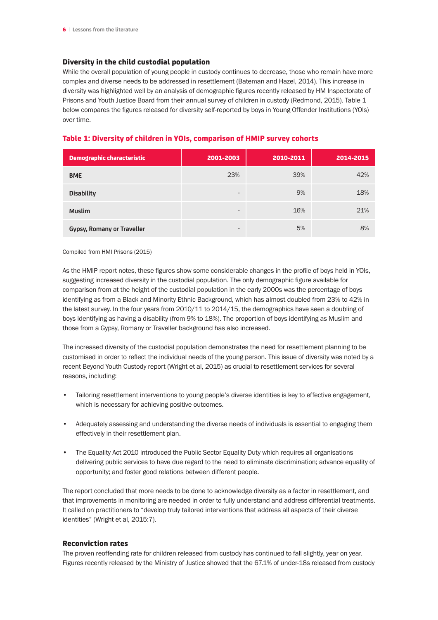### Diversity in the child custodial population

While the overall population of young people in custody continues to decrease, those who remain have more complex and diverse needs to be addressed in resettlement (Bateman and Hazel, 2014). This increase in diversity was highlighted well by an analysis of demographic figures recently released by HM Inspectorate of Prisons and Youth Justice Board from their annual survey of children in custody (Redmond, 2015). Table 1 below compares the figures released for diversity self-reported by boys in Young Offender Institutions (YOIs) over time.

| <b>Demographic characteristic</b> | 2001-2003                | 2010-2011 | 2014-2015 |
|-----------------------------------|--------------------------|-----------|-----------|
| <b>BME</b>                        | 23%                      | 39%       | 42%       |
| <b>Disability</b>                 | $\qquad \qquad$          | 9%        | 18%       |
| <b>Muslim</b>                     | $\overline{\phantom{a}}$ | 16%       | 21%       |
| <b>Gypsy, Romany or Traveller</b> | $\qquad \qquad$          | 5%        | 8%        |

### Table 1: Diversity of children in YOIs, comparison of HMIP survey cohorts

Compiled from HMI Prisons (2015)

As the HMIP report notes, these figures show some considerable changes in the profile of boys held in YOIs, suggesting increased diversity in the custodial population. The only demographic figure available for comparison from at the height of the custodial population in the early 2000s was the percentage of boys identifying as from a Black and Minority Ethnic Background, which has almost doubled from 23% to 42% in the latest survey. In the four years from 2010/11 to 2014/15, the demographics have seen a doubling of boys identifying as having a disability (from 9% to 18%). The proportion of boys identifying as Muslim and those from a Gypsy, Romany or Traveller background has also increased.

The increased diversity of the custodial population demonstrates the need for resettlement planning to be customised in order to reflect the individual needs of the young person. This issue of diversity was noted by a recent Beyond Youth Custody report (Wright et al, 2015) as crucial to resettlement services for several reasons, including:

- Tailoring resettlement interventions to young people's diverse identities is key to effective engagement, which is necessary for achieving positive outcomes.
- Adequately assessing and understanding the diverse needs of individuals is essential to engaging them effectively in their resettlement plan.
- The Equality Act 2010 introduced the Public Sector Equality Duty which requires all organisations delivering public services to have due regard to the need to eliminate discrimination; advance equality of opportunity; and foster good relations between different people.

The report concluded that more needs to be done to acknowledge diversity as a factor in resettlement, and that improvements in monitoring are needed in order to fully understand and address differential treatments. It called on practitioners to "develop truly tailored interventions that address all aspects of their diverse identities" (Wright et al, 2015:7).

### Reconviction rates

The proven reoffending rate for children released from custody has continued to fall slightly, year on year. Figures recently released by the Ministry of Justice showed that the 67.1% of under-18s released from custody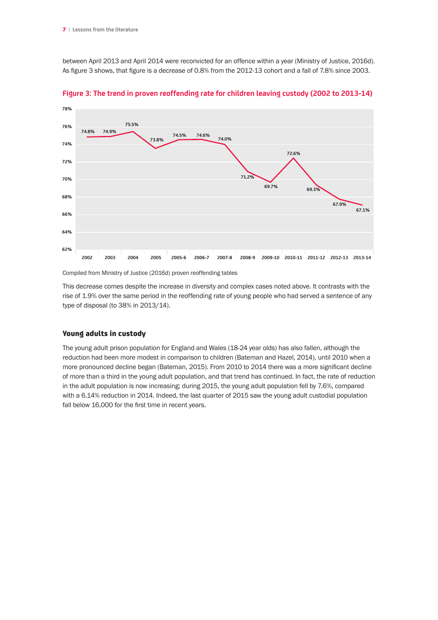between April 2013 and April 2014 were reconvicted for an offence within a year (Ministry of Justice, 2016d). As figure 3 shows, that figure is a decrease of 0.8% from the 2012-13 cohort and a fall of 7.8% since 2003.



**Figure 3: The trend in proven reoffending rate for children leaving custody (2002 to 2013-14)**

Compiled from Ministry of Justice (2016d) proven reoffending tables

This decrease comes despite the increase in diversity and complex cases noted above. It contrasts with the rise of 1.9% over the same period in the reoffending rate of young people who had served a sentence of any type of disposal (to 38% in 2013/14).

### Young adults in custody

The young adult prison population for England and Wales (18-24 year olds) has also fallen, although the reduction had been more modest in comparison to children (Bateman and Hazel, 2014), until 2010 when a more pronounced decline began (Bateman, 2015). From 2010 to 2014 there was a more significant decline of more than a third in the young adult population, and that trend has continued. In fact, the rate of reduction in the adult population is now increasing; during 2015, the young adult population fell by 7.6%, compared with a 6.14% reduction in 2014. Indeed, the last quarter of 2015 saw the young adult custodial population fall below 16,000 for the first time in recent years.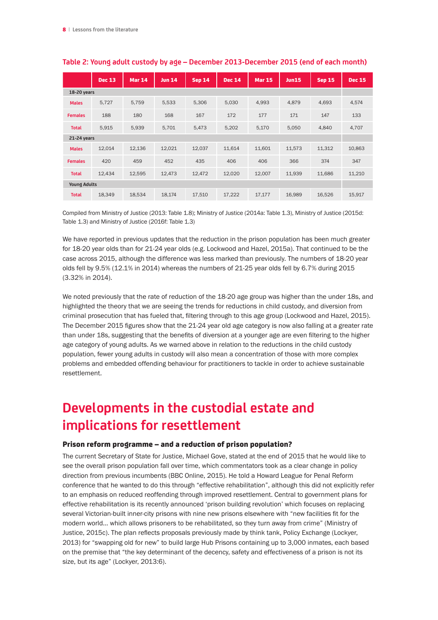|                     | <b>Dec 13</b> | <b>Mar 14</b> | <b>Jun 14</b> | <b>Sep 14</b> | <b>Dec 14</b> | <b>Mar 15</b> | Jun15  | <b>Sep 15</b> | <b>Dec 15</b> |
|---------------------|---------------|---------------|---------------|---------------|---------------|---------------|--------|---------------|---------------|
| 18-20 years         |               |               |               |               |               |               |        |               |               |
| <b>Males</b>        | 5,727         | 5,759         | 5,533         | 5,306         | 5,030         | 4,993         | 4,879  | 4,693         | 4,574         |
| <b>Females</b>      | 188           | 180           | 168           | 167           | 172           | 177           | 171    | 147           | 133           |
| <b>Total</b>        | 5,915         | 5,939         | 5,701         | 5,473         | 5,202         | 5,170         | 5,050  | 4,840         | 4,707         |
| 21-24 years         |               |               |               |               |               |               |        |               |               |
| <b>Males</b>        | 12,014        | 12,136        | 12,021        | 12,037        | 11,614        | 11,601        | 11,573 | 11,312        | 10,863        |
| <b>Females</b>      | 420           | 459           | 452           | 435           | 406           | 406           | 366    | 374           | 347           |
| <b>Total</b>        | 12,434        | 12,595        | 12,473        | 12,472        | 12,020        | 12,007        | 11,939 | 11,686        | 11,210        |
| <b>Young Adults</b> |               |               |               |               |               |               |        |               |               |
| <b>Total</b>        | 18,349        | 18,534        | 18,174        | 17,510        | 17,222        | 17,177        | 16,989 | 16,526        | 15,917        |

### **Table 2: Young adult custody by age – December 2013-December 2015 (end of each month)**

Compiled from Ministry of Justice (2013: Table 1.8); Ministry of Justice (2014a: Table 1.3), Ministry of Justice (2015d: Table 1.3) and Ministry of Justice (2016f: Table 1.3)

We have reported in previous updates that the reduction in the prison population has been much greater for 18-20 year olds than for 21-24 year olds (e.g. Lockwood and Hazel, 2015a). That continued to be the case across 2015, although the difference was less marked than previously. The numbers of 18-20 year olds fell by 9.5% (12.1% in 2014) whereas the numbers of 21-25 year olds fell by 6.7% during 2015 (3.32% in 2014).

We noted previously that the rate of reduction of the 18-20 age group was higher than the under 18s, and highlighted the theory that we are seeing the trends for reductions in child custody, and diversion from criminal prosecution that has fueled that, filtering through to this age group (Lockwood and Hazel, 2015). The December 2015 figures show that the 21-24 year old age category is now also falling at a greater rate than under 18s, suggesting that the benefits of diversion at a younger age are even filtering to the higher age category of young adults. As we warned above in relation to the reductions in the child custody population, fewer young adults in custody will also mean a concentration of those with more complex problems and embedded offending behaviour for practitioners to tackle in order to achieve sustainable resettlement.

### **Developments in the custodial estate and implications for resettlement**

#### Prison reform programme – and a reduction of prison population?

The current Secretary of State for Justice, Michael Gove, stated at the end of 2015 that he would like to see the overall prison population fall over time, which commentators took as a clear change in policy direction from previous incumbents (BBC Online, 2015). He told a Howard League for Penal Reform conference that he wanted to do this through "effective rehabilitation", although this did not explicitly refer to an emphasis on reduced reoffending through improved resettlement. Central to government plans for effective rehabilitation is its recently announced 'prison building revolution' which focuses on replacing several Victorian-built inner-city prisons with nine new prisons elsewhere with "new facilities fit for the modern world… which allows prisoners to be rehabilitated, so they turn away from crime" (Ministry of Justice, 2015c). The plan reflects proposals previously made by think tank, Policy Exchange (Lockyer, 2013) for "swapping old for new" to build large Hub Prisons containing up to 3,000 inmates, each based on the premise that "the key determinant of the decency, safety and effectiveness of a prison is not its size, but its age" (Lockyer, 2013:6).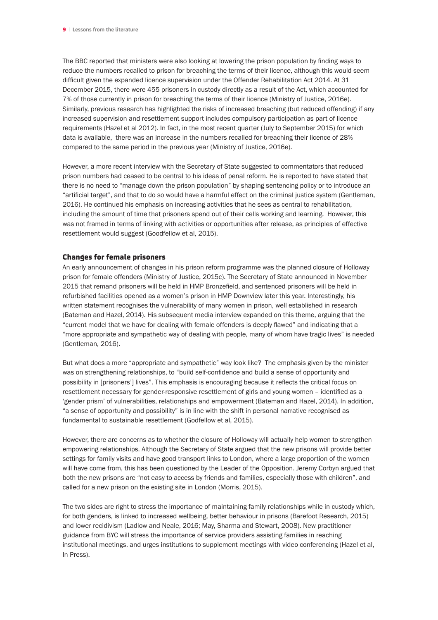The BBC reported that ministers were also looking at lowering the prison population by finding ways to reduce the numbers recalled to prison for breaching the terms of their licence, although this would seem difficult given the expanded licence supervision under the Offender Rehabilitation Act 2014. At 31 December 2015, there were 455 prisoners in custody directly as a result of the Act, which accounted for 7% of those currently in prison for breaching the terms of their licence (Ministry of Justice, 2016e). Similarly, previous research has highlighted the risks of increased breaching (but reduced offending) if any increased supervision and resettlement support includes compulsory participation as part of licence requirements (Hazel et al 2012). In fact, in the most recent quarter (July to September 2015) for which data is available, there was an increase in the numbers recalled for breaching their licence of 28% compared to the same period in the previous year (Ministry of Justice, 2016e).

However, a more recent interview with the Secretary of State suggested to commentators that reduced prison numbers had ceased to be central to his ideas of penal reform. He is reported to have stated that there is no need to "manage down the prison population" by shaping sentencing policy or to introduce an "artificial target", and that to do so would have a harmful effect on the criminal justice system (Gentleman, 2016). He continued his emphasis on increasing activities that he sees as central to rehabilitation, including the amount of time that prisoners spend out of their cells working and learning. However, this was not framed in terms of linking with activities or opportunities after release, as principles of effective resettlement would suggest (Goodfellow et al, 2015).

### Changes for female prisoners

An early announcement of changes in his prison reform programme was the planned closure of Holloway prison for female offenders (Ministry of Justice, 2015c). The Secretary of State announced in November 2015 that remand prisoners will be held in HMP Bronzefield, and sentenced prisoners will be held in refurbished facilities opened as a women's prison in HMP Downview later this year. Interestingly, his written statement recognises the vulnerability of many women in prison, well established in research (Bateman and Hazel, 2014). His subsequent media interview expanded on this theme, arguing that the "current model that we have for dealing with female offenders is deeply flawed" and indicating that a "more appropriate and sympathetic way of dealing with people, many of whom have tragic lives" is needed (Gentleman, 2016).

But what does a more "appropriate and sympathetic" way look like? The emphasis given by the minister was on strengthening relationships, to "build self-confidence and build a sense of opportunity and possibility in [prisoners'] lives". This emphasis is encouraging because it reflects the critical focus on resettlement necessary for gender-responsive resettlement of girls and young women – identified as a 'gender prism' of vulnerabilities, relationships and empowerment (Bateman and Hazel, 2014). In addition, "a sense of opportunity and possibility" is in line with the shift in personal narrative recognised as fundamental to sustainable resettlement (Godfellow et al, 2015).

However, there are concerns as to whether the closure of Holloway will actually help women to strengthen empowering relationships. Although the Secretary of State argued that the new prisons will provide better settings for family visits and have good transport links to London, where a large proportion of the women will have come from, this has been questioned by the Leader of the Opposition. Jeremy Corbyn argued that both the new prisons are "not easy to access by friends and families, especially those with children", and called for a new prison on the existing site in London (Morris, 2015).

The two sides are right to stress the importance of maintaining family relationships while in custody which, for both genders, is linked to increased wellbeing, better behaviour in prisons (Barefoot Research, 2015) and lower recidivism (Ladlow and Neale, 2016; May, Sharma and Stewart, 2008). New practitioner guidance from BYC will stress the importance of service providers assisting families in reaching institutional meetings, and urges institutions to supplement meetings with video conferencing (Hazel et al, In Press).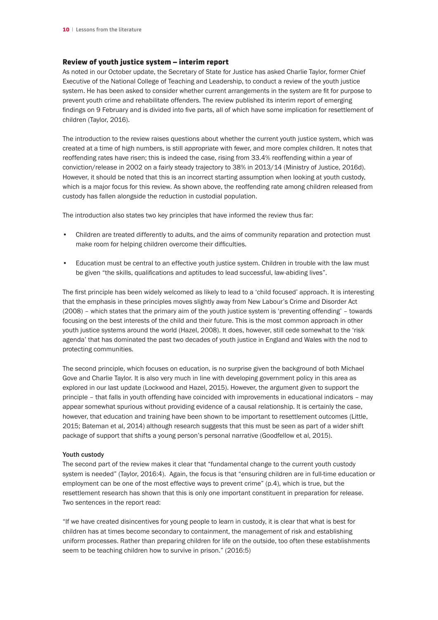### Review of youth justice system – interim report

As noted in our October update, the Secretary of State for Justice has asked Charlie Taylor, former Chief Executive of the National College of Teaching and Leadership, to conduct a review of the youth justice system. He has been asked to consider whether current arrangements in the system are fit for purpose to prevent youth crime and rehabilitate offenders. The review published its interim report of emerging findings on 9 February and is divided into five parts, all of which have some implication for resettlement of children (Taylor, 2016).

The introduction to the review raises questions about whether the current youth justice system, which was created at a time of high numbers, is still appropriate with fewer, and more complex children. It notes that reoffending rates have risen; this is indeed the case, rising from 33.4% reoffending within a year of conviction/release in 2002 on a fairly steady trajectory to 38% in 2013/14 (Ministry of Justice, 2016d). However, it should be noted that this is an incorrect starting assumption when looking at youth custody, which is a major focus for this review. As shown above, the reoffending rate among children released from custody has fallen alongside the reduction in custodial population.

The introduction also states two key principles that have informed the review thus far:

- Children are treated differently to adults, and the aims of community reparation and protection must make room for helping children overcome their difficulties.
- Education must be central to an effective youth justice system. Children in trouble with the law must be given "the skills, qualifications and aptitudes to lead successful, law-abiding lives".

The first principle has been widely welcomed as likely to lead to a 'child focused' approach. It is interesting that the emphasis in these principles moves slightly away from New Labour's Crime and Disorder Act (2008) – which states that the primary aim of the youth justice system is 'preventing offending' – towards focusing on the best interests of the child and their future. This is the most common approach in other youth justice systems around the world (Hazel, 2008). It does, however, still cede somewhat to the 'risk agenda' that has dominated the past two decades of youth justice in England and Wales with the nod to protecting communities.

The second principle, which focuses on education, is no surprise given the background of both Michael Gove and Charlie Taylor. It is also very much in line with developing government policy in this area as explored in our last update (Lockwood and Hazel, 2015). However, the argument given to support the principle – that falls in youth offending have coincided with improvements in educational indicators – may appear somewhat spurious without providing evidence of a causal relationship. It is certainly the case, however, that education and training have been shown to be important to resettlement outcomes (Little, 2015; Bateman et al, 2014) although research suggests that this must be seen as part of a wider shift package of support that shifts a young person's personal narrative (Goodfellow et al, 2015).

### Youth custody

The second part of the review makes it clear that "fundamental change to the current youth custody system is needed" (Taylor, 2016:4). Again, the focus is that "ensuring children are in full-time education or employment can be one of the most effective ways to prevent crime" (p.4), which is true, but the resettlement research has shown that this is only one important constituent in preparation for release. Two sentences in the report read:

"If we have created disincentives for young people to learn in custody, it is clear that what is best for children has at times become secondary to containment, the management of risk and establishing uniform processes. Rather than preparing children for life on the outside, too often these establishments seem to be teaching children how to survive in prison." (2016:5)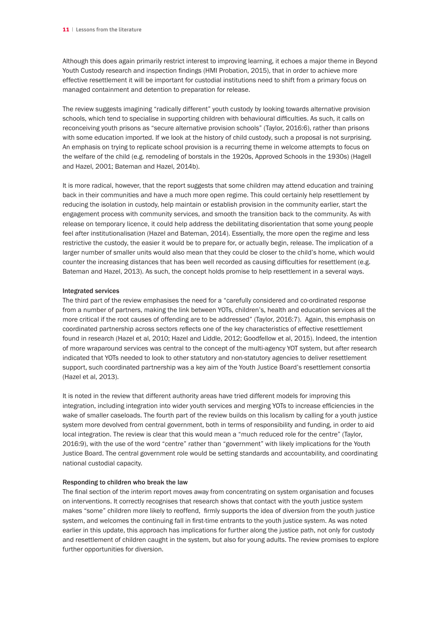Although this does again primarily restrict interest to improving learning, it echoes a major theme in Beyond Youth Custody research and inspection findings (HMI Probation, 2015), that in order to achieve more effective resettlement it will be important for custodial institutions need to shift from a primary focus on managed containment and detention to preparation for release.

The review suggests imagining "radically different" youth custody by looking towards alternative provision schools, which tend to specialise in supporting children with behavioural difficulties. As such, it calls on reconceiving youth prisons as "secure alternative provision schools" (Taylor, 2016:6), rather than prisons with some education imported. If we look at the history of child custody, such a proposal is not surprising. An emphasis on trying to replicate school provision is a recurring theme in welcome attempts to focus on the welfare of the child (e.g. remodeling of borstals in the 1920s, Approved Schools in the 1930s) (Hagell and Hazel, 2001; Bateman and Hazel, 2014b).

It is more radical, however, that the report suggests that some children may attend education and training back in their communities and have a much more open regime. This could certainly help resettlement by reducing the isolation in custody, help maintain or establish provision in the community earlier, start the engagement process with community services, and smooth the transition back to the community. As with release on temporary licence, it could help address the debilitating disorientation that some young people feel after institutionalisation (Hazel and Bateman, 2014). Essentially, the more open the regime and less restrictive the custody, the easier it would be to prepare for, or actually begin, release. The implication of a larger number of smaller units would also mean that they could be closer to the child's home, which would counter the increasing distances that has been well recorded as causing difficulties for resettlement (e.g. Bateman and Hazel, 2013). As such, the concept holds promise to help resettlement in a several ways.

#### Integrated services

The third part of the review emphasises the need for a "carefully considered and co-ordinated response from a number of partners, making the link between YOTs, children's, health and education services all the more critical if the root causes of offending are to be addressed" (Taylor, 2016:7). Again, this emphasis on coordinated partnership across sectors reflects one of the key characteristics of effective resettlement found in research (Hazel et al, 2010; Hazel and Liddle, 2012; Goodfellow et al, 2015). Indeed, the intention of more wraparound services was central to the concept of the multi-agency YOT system, but after research indicated that YOTs needed to look to other statutory and non-statutory agencies to deliver resettlement support, such coordinated partnership was a key aim of the Youth Justice Board's resettlement consortia (Hazel et al, 2013).

It is noted in the review that different authority areas have tried different models for improving this integration, including integration into wider youth services and merging YOTs to increase efficiencies in the wake of smaller caseloads. The fourth part of the review builds on this localism by calling for a youth justice system more devolved from central government, both in terms of responsibility and funding, in order to aid local integration. The review is clear that this would mean a "much reduced role for the centre" (Taylor, 2016:9), with the use of the word "centre" rather than "government" with likely implications for the Youth Justice Board. The central government role would be setting standards and accountability, and coordinating national custodial capacity.

#### Responding to children who break the law

The final section of the interim report moves away from concentrating on system organisation and focuses on interventions. It correctly recognises that research shows that contact with the youth justice system makes "some" children more likely to reoffend, firmly supports the idea of diversion from the youth justice system, and welcomes the continuing fall in first-time entrants to the youth justice system. As was noted earlier in this update, this approach has implications for further along the justice path, not only for custody and resettlement of children caught in the system, but also for young adults. The review promises to explore further opportunities for diversion.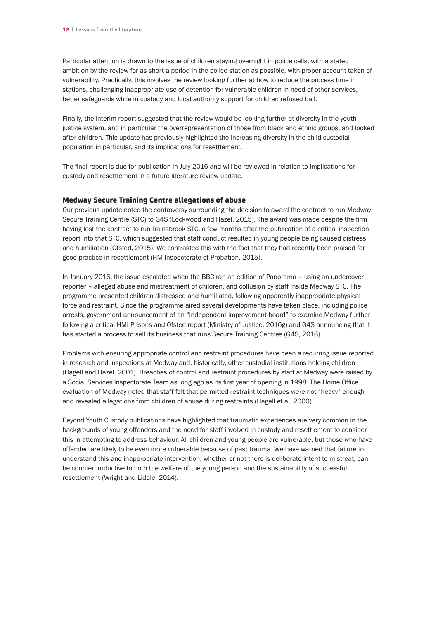Particular attention is drawn to the issue of children staying overnight in police cells, with a stated ambition by the review for as short a period in the police station as possible, with proper account taken of vulnerability. Practically, this involves the review looking further at how to reduce the process time in stations, challenging inappropriate use of detention for vulnerable children in need of other services, better safeguards while in custody and local authority support for children refused bail.

Finally, the interim report suggested that the review would be looking further at diversity in the youth justice system, and in particular the overrepresentation of those from black and ethnic groups, and looked after children. This update has previously highlighted the increasing diversity in the child custodial population in particular, and its implications for resettlement.

The final report is due for publication in July 2016 and will be reviewed in relation to implications for custody and resettlement in a future literature review update.

#### Medway Secure Training Centre allegations of abuse

Our previous update noted the controversy surrounding the decision to award the contract to run Medway Secure Training Centre (STC) to G4S (Lockwood and Hazel, 2015). The award was made despite the firm having lost the contract to run Rainsbrook STC, a few months after the publication of a critical inspection report into that STC, which suggested that staff conduct resulted in young people being caused distress and humiliation (Ofsted, 2015). We contrasted this with the fact that they had recently been praised for good practice in resettlement (HM Inspectorate of Probation, 2015).

In January 2016, the issue escalated when the BBC ran an edition of Panorama – using an undercover reporter – alleged abuse and mistreatment of children, and collusion by staff inside Medway STC. The programme presented children distressed and humiliated, following apparently inappropriate physical force and restraint. Since the programme aired several developments have taken place, including police arrests, government announcement of an "independent improvement board" to examine Medway further following a critical HMI Prisons and Ofsted report (Ministry of Justice, 2016g) and G4S announcing that it has started a process to sell its business that runs Secure Training Centres (G4S, 2016).

Problems with ensuring appropriate control and restraint procedures have been a recurring issue reported in research and inspections at Medway and, historically, other custodial institutions holding children (Hagell and Hazel, 2001). Breaches of control and restraint procedures by staff at Medway were raised by a Social Services Inspectorate Team as long ago as its first year of opening in 1998. The Home Office evaluation of Medway noted that staff felt that permitted restraint techniques were not "heavy" enough and revealed allegations from children of abuse during restraints (Hagell et al, 2000).

Beyond Youth Custody publications have highlighted that traumatic experiences are very common in the backgrounds of young offenders and the need for staff involved in custody and resettlement to consider this in attempting to address behaviour. All children and young people are vulnerable, but those who have offended are likely to be even more vulnerable because of past trauma. We have warned that failure to understand this and inappropriate intervention, whether or not there is deliberate intent to mistreat, can be counterproductive to both the welfare of the young person and the sustainability of successful resettlement (Wright and Liddle, 2014).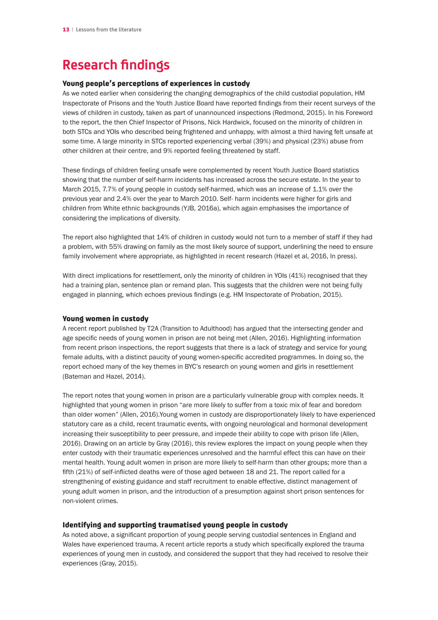### **Research findings**

### Young people's perceptions of experiences in custody

As we noted earlier when considering the changing demographics of the child custodial population, HM Inspectorate of Prisons and the Youth Justice Board have reported findings from their recent surveys of the views of children in custody, taken as part of unannounced inspections (Redmond, 2015). In his Foreword to the report, the then Chief Inspector of Prisons, Nick Hardwick, focused on the minority of children in both STCs and YOIs who described being frightened and unhappy, with almost a third having felt unsafe at some time. A large minority in STCs reported experiencing verbal (39%) and physical (23%) abuse from other children at their centre, and 9% reported feeling threatened by staff.

These findings of children feeling unsafe were complemented by recent Youth Justice Board statistics showing that the number of self-harm incidents has increased across the secure estate. In the year to March 2015, 7.7% of young people in custody self-harmed, which was an increase of 1.1% over the previous year and 2.4% over the year to March 2010. Self- harm incidents were higher for girls and children from White ethnic backgrounds (YJB, 2016a), which again emphasises the importance of considering the implications of diversity.

The report also highlighted that 14% of children in custody would not turn to a member of staff if they had a problem, with 55% drawing on family as the most likely source of support, underlining the need to ensure family involvement where appropriate, as highlighted in recent research (Hazel et al, 2016, In press).

With direct implications for resettlement, only the minority of children in YOIs (41%) recognised that they had a training plan, sentence plan or remand plan. This suggests that the children were not being fully engaged in planning, which echoes previous findings (e.g. HM Inspectorate of Probation, 2015).

### Young women in custody

A recent report published by T2A (Transition to Adulthood) has argued that the intersecting gender and age specific needs of young women in prison are not being met (Allen, 2016). Highlighting information from recent prison inspections, the report suggests that there is a lack of strategy and service for young female adults, with a distinct paucity of young women-specific accredited programmes. In doing so, the report echoed many of the key themes in BYC's research on young women and girls in resettlement (Bateman and Hazel, 2014).

The report notes that young women in prison are a particularly vulnerable group with complex needs. It highlighted that young women in prison "are more likely to suffer from a toxic mix of fear and boredom than older women" (Allen, 2016).Young women in custody are disproportionately likely to have experienced statutory care as a child, recent traumatic events, with ongoing neurological and hormonal development increasing their susceptibility to peer pressure, and impede their ability to cope with prison life (Allen, 2016). Drawing on an article by Gray (2016), this review explores the impact on young people when they enter custody with their traumatic experiences unresolved and the harmful effect this can have on their mental health. Young adult women in prison are more likely to self-harm than other groups; more than a fifth (21%) of self-inflicted deaths were of those aged between 18 and 21. The report called for a strengthening of existing guidance and staff recruitment to enable effective, distinct management of young adult women in prison, and the introduction of a presumption against short prison sentences for non-violent crimes.

### Identifying and supporting traumatised young people in custody

As noted above, a significant proportion of young people serving custodial sentences in England and Wales have experienced trauma. A recent article reports a study which specifically explored the trauma experiences of young men in custody, and considered the support that they had received to resolve their experiences (Gray, 2015).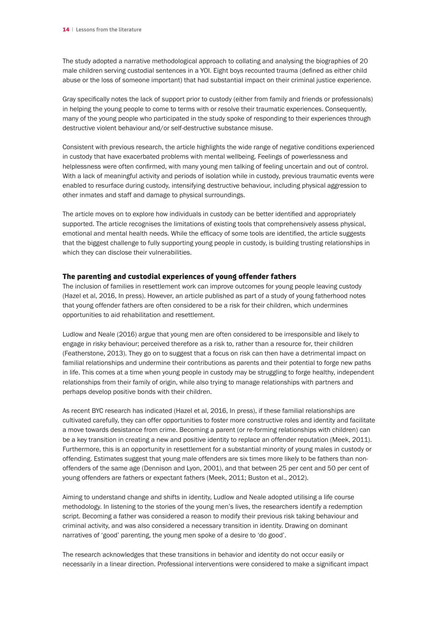The study adopted a narrative methodological approach to collating and analysing the biographies of 20 male children serving custodial sentences in a YOI. Eight boys recounted trauma (defined as either child abuse or the loss of someone important) that had substantial impact on their criminal justice experience.

Gray specifically notes the lack of support prior to custody (either from family and friends or professionals) in helping the young people to come to terms with or resolve their traumatic experiences. Consequently, many of the young people who participated in the study spoke of responding to their experiences through destructive violent behaviour and/or self-destructive substance misuse.

Consistent with previous research, the article highlights the wide range of negative conditions experienced in custody that have exacerbated problems with mental wellbeing. Feelings of powerlessness and helplessness were often confirmed, with many young men talking of feeling uncertain and out of control. With a lack of meaningful activity and periods of isolation while in custody, previous traumatic events were enabled to resurface during custody, intensifying destructive behaviour, including physical aggression to other inmates and staff and damage to physical surroundings.

The article moves on to explore how individuals in custody can be better identified and appropriately supported. The article recognises the limitations of existing tools that comprehensively assess physical, emotional and mental health needs. While the efficacy of some tools are identified, the article suggests that the biggest challenge to fully supporting young people in custody, is building trusting relationships in which they can disclose their vulnerabilities.

#### The parenting and custodial experiences of young offender fathers

The inclusion of families in resettlement work can improve outcomes for young people leaving custody (Hazel et al, 2016, In press). However, an article published as part of a study of young fatherhood notes that young offender fathers are often considered to be a risk for their children, which undermines opportunities to aid rehabilitation and resettlement.

Ludlow and Neale (2016) argue that young men are often considered to be irresponsible and likely to engage in risky behaviour; perceived therefore as a risk to, rather than a resource for, their children (Featherstone, 2013). They go on to suggest that a focus on risk can then have a detrimental impact on familial relationships and undermine their contributions as parents and their potential to forge new paths in life. This comes at a time when young people in custody may be struggling to forge healthy, independent relationships from their family of origin, while also trying to manage relationships with partners and perhaps develop positive bonds with their children.

As recent BYC research has indicated (Hazel et al, 2016, In press), if these familial relationships are cultivated carefully, they can offer opportunities to foster more constructive roles and identity and facilitate a move towards desistance from crime. Becoming a parent (or re-forming relationships with children) can be a key transition in creating a new and positive identity to replace an offender reputation (Meek, 2011). Furthermore, this is an opportunity in resettlement for a substantial minority of young males in custody or offending. Estimates suggest that young male offenders are six times more likely to be fathers than nonoffenders of the same age (Dennison and Lyon, 2001), and that between 25 per cent and 50 per cent of young offenders are fathers or expectant fathers (Meek, 2011; Buston et al., 2012).

Aiming to understand change and shifts in identity, Ludlow and Neale adopted utilising a life course methodology. In listening to the stories of the young men's lives, the researchers identify a redemption script. Becoming a father was considered a reason to modify their previous risk taking behaviour and criminal activity, and was also considered a necessary transition in identity. Drawing on dominant narratives of 'good' parenting, the young men spoke of a desire to 'do good'.

The research acknowledges that these transitions in behavior and identity do not occur easily or necessarily in a linear direction. Professional interventions were considered to make a significant impact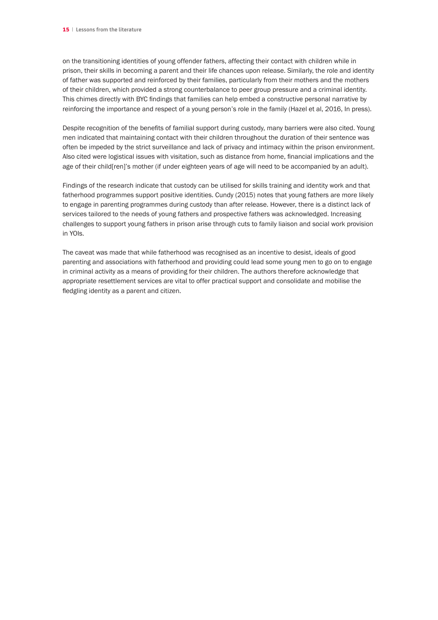on the transitioning identities of young offender fathers, affecting their contact with children while in prison, their skills in becoming a parent and their life chances upon release. Similarly, the role and identity of father was supported and reinforced by their families, particularly from their mothers and the mothers of their children, which provided a strong counterbalance to peer group pressure and a criminal identity. This chimes directly with BYC findings that families can help embed a constructive personal narrative by reinforcing the importance and respect of a young person's role in the family (Hazel et al, 2016, In press).

Despite recognition of the benefits of familial support during custody, many barriers were also cited. Young men indicated that maintaining contact with their children throughout the duration of their sentence was often be impeded by the strict surveillance and lack of privacy and intimacy within the prison environment. Also cited were logistical issues with visitation, such as distance from home, financial implications and the age of their child[ren]'s mother (if under eighteen years of age will need to be accompanied by an adult).

Findings of the research indicate that custody can be utilised for skills training and identity work and that fatherhood programmes support positive identities. Cundy (2015) notes that young fathers are more likely to engage in parenting programmes during custody than after release. However, there is a distinct lack of services tailored to the needs of young fathers and prospective fathers was acknowledged. Increasing challenges to support young fathers in prison arise through cuts to family liaison and social work provision in YOIs.

The caveat was made that while fatherhood was recognised as an incentive to desist, ideals of good parenting and associations with fatherhood and providing could lead some young men to go on to engage in criminal activity as a means of providing for their children. The authors therefore acknowledge that appropriate resettlement services are vital to offer practical support and consolidate and mobilise the fledgling identity as a parent and citizen.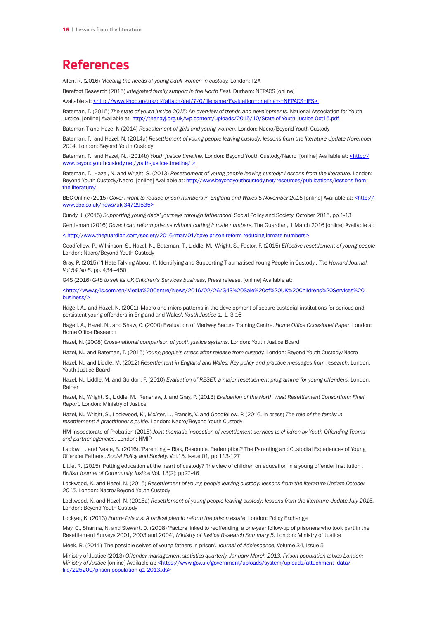### **References**

Allen, R. (2016) *Meeting the needs of young adult women in custody.* London: T2A

Barefoot Research (2015) *Integrated family support in the North East.* Durham: NEPACS [online]

Available at: <[http://www.i-hop.org.uk/ci/fattach/get/7/0/filename/Evaluation+briefing+-+NEPACS+IFS](<http://www.i-hop.org.uk/ci/fattach/get/7/0/filename/Evaluation+briefing+-+NEPACS+IFS>)>

Bateman, T. (2015) *The state of youth justice 2015: An overview of trends and developments*. National Association for Youth Justice. [online] Available at: <http://thenayj.org.uk/wp-content/uploads/2015/10/State-of-Youth-Justice-Oct15.pdf>

Bateman T and Hazel N (2014) *Resettlement of girls and young women*. London: Nacro/Beyond Youth Custody

Bateman, T., and Hazel, N. (2014a) *Resettlement of young people leaving custody: lessons from the literature Update November 2014.* London: Beyond Youth Custody

Bateman, T., and Hazel, N., (2014b) *Youth justice timeline*. London: Beyond Youth Custody/Nacro [online] Available at: [<http://](<http://www.beyondyouthcustody.net/youth-justice-timeline/ >) [www.beyondyouthcustody.net/youth-justice-timeline/ >](<http://www.beyondyouthcustody.net/youth-justice-timeline/ >)

Bateman, T., Hazel, N. and Wright, S. (2013) *Resettlement of young people leaving custody: Lessons from the literature*. London: Beyond Youth Custody/Nacro [online] Available at: [http://www.beyondyouthcustody.net/resources/publications/lessons-from](http://www.beyondyouthcustody.net/resources/publications/lessons-from-the-literature/)[the-literature/](http://www.beyondyouthcustody.net/resources/publications/lessons-from-the-literature/)

BBC Online (2015) Gove: I want to reduce prison numbers in England and Wales 5 November 2015 [online] Available at: < http:// [www.bbc.co.uk/news/uk-34729535>](<http://www.bbc.co.uk/news/uk-34729535>)

Cundy, J. (2015) *Supporting young dads' journeys through fatherhood*. Social Policy and Society, October 2015, pp 1-13

Gentleman (2016) *Gove: I can reform prisons without cutting inmate numbers*, The Guardian, 1 March 2016 [online] Available at: << http://www.theguardian.com/society/2016/mar/01/gove-prison-reform-reducing-inmate-numbers>>

Goodfellow, P., Wilkinson, S., Hazel, N., Bateman, T., Liddle, M., Wright, S., Factor, F. (2015) *Effective resettlement of young people*  London: Nacro/Beyond Youth Custody

Gray, P. (2015) ''I Hate Talking About It': Identifying and Supporting Traumatised Young People in Custody'. *The Howard Journal. Vol 54 No 5*. pp. 434–450

G4S (2016) *G4S to sell its UK Children's Services business,* Press release. [online] Available at:

[<http://www.g4s.com/en/Media%20Centre/News/2016/02/26/G4S%20Sale%20of%20UK%20Childrens%20Services%20](<http://www.g4s.com/en/Media%20Centre/News/2016/02/26/G4S%20Sale%20of%20UK%20Childrens%20Services%20business/>) [business/>](<http://www.g4s.com/en/Media%20Centre/News/2016/02/26/G4S%20Sale%20of%20UK%20Childrens%20Services%20business/>)

Hagell, A., and Hazel, N. (2001) 'Macro and micro patterns in the development of secure custodial institutions for serious and persistent young offenders in England and Wales'. *Youth Justice 1,* 1, 3-16

Hagell, A., Hazel, N., and Shaw, C. (2000) Evaluation of Medway Secure Training Centre. *Home Office Occasional Paper*. London: Home Office Research

Hazel, N. (2008) *Cross-national comparison of youth justice systems.* London: Youth Justice Board

Hazel, N., and Bateman, T. (2015) *Young people's stress after release from custody.* London: Beyond Youth Custody/Nacro

Hazel, N., and Liddle, M. (2012) *Resettlement in England and Wales: Key policy and practice messages from research*. London: Youth Justice Board

Hazel, N., Liddle, M. and Gordon, F. (2010) *Evaluation of RESET: a major resettlement programme for young offenders.* London: Rainer

Hazel, N., Wright, S., Liddle, M., Renshaw, J. and Gray, P. (2013) *Evaluation of the North West Resettlement Consortium: Final Report.* London: Ministry of Justice

Hazel, N., Wright, S., Lockwood, K., McAter, L., Francis, V. and Goodfellow, P. (2016, In press) *The role of the family in resettlement: A practitioner's guide.* London: Nacro/Beyond Youth Custody

HM Inspectorate of Probation (2015) *Joint thematic inspection of resettlement services to children by Youth Offending Teams and partner agencies.* London: HMIP

Ladlow, L. and Neale, B. (2016). 'Parenting – Risk, Resource, Redemption? The Parenting and Custodial Experiences of Young Offender Fathers'. *Social Policy and Society,* Vol.15. Issue 01, pp 113-127

Little, R. (2015) 'Putting education at the heart of custody? The view of children on education in a young offender institution'. *British Journal of Community Justice* Vol. 13(2): pp27-46

Lockwood, K. and Hazel, N. (2015) *Resettlement of young people leaving custody: lessons from the literature Update October 2015*. London: Nacro/Beyond Youth Custody

Lockwood, K. and Hazel, N. (2015a) *Resettlement of young people leaving custody: lessons from the literature Update July 2015.*  London: Beyond Youth Custody

Lockyer, K. (2013) *Future Prisons: A radical plan to reform the prison estate*. London: Policy Exchange

May, C., Sharma, N. and Stewart, D. (2008) 'Factors linked to reoffending: a one-year follow-up of prisoners who took part in the Resettlement Surveys 2001, 2003 and 2004', *Ministry of Justice Research Summary 5*. London: Ministry of Justice

Meek, R. (2011) 'The possible selves of young fathers in prison'. *Journal of Adolescence,* Volume 34, Issue 5

Ministry of Justice (2013) *Offender management statistics quarterly, January-March 2013, Prison population tables London: Ministry of Justice* [online] Available at: [<https://www.gov.uk/government/uploads/system/uploads/attachment\\_data/](<https://www.gov.uk/government/uploads/system/uploads/attachment_data/file/225200/prison-population-q1-2013.xls>) [file/225200/prison-population-q1-2013.xls>](<https://www.gov.uk/government/uploads/system/uploads/attachment_data/file/225200/prison-population-q1-2013.xls>)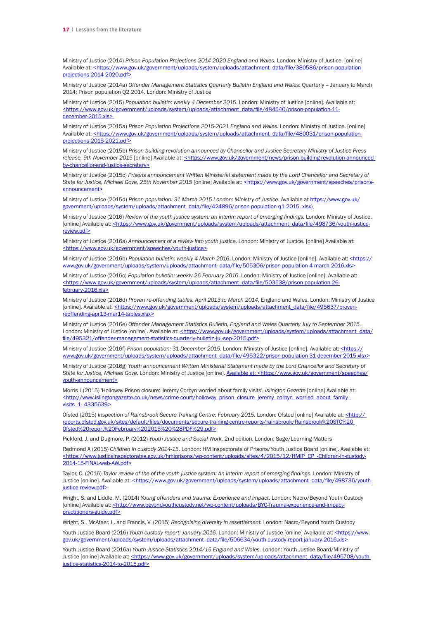Ministry of Justice (2014) *Prison Population Projections 2014-2020 England and Wales.* London: Ministry of Justice. [online] Available at: [<https://www.gov.uk/government/uploads/system/uploads/attachment\\_data/file/380586/prison-population](<https://www.gov.uk/government/uploads/system/uploads/attachment_data/file/380586/prison-population-projections-2014-2020.pdf>)[projections-2014-2020.pdf>](<https://www.gov.uk/government/uploads/system/uploads/attachment_data/file/380586/prison-population-projections-2014-2020.pdf>)

Ministry of Justice (2014a) *Offender Management Statistics Quarterly Bulletin England and Wales*: Quarterly – January to March 2014; Prison population Q2 2014. London: Ministry of Justice

Ministry of Justice (2015) *Population bulletin: weekly 4 December 2015*. London: Ministry of Justice [online]. Available at: [<https://www.gov.uk/government/uploads/system/uploads/attachment\\_data/file/484540/prison-population-11](<https://www.gov.uk/government/uploads/system/uploads/attachment_data/file/484540/prison-population-11-december-2015.xls>) december-2015.xls>

Ministry of Justice (2015a) *Prison Population Projections 2015-2021 England and Wales*. London: Ministry of Justice. [online] Available at: [<https://www.gov.uk/government/uploads/system/uploads/attachment\\_data/file/480031/prison-population](<https://www.gov.uk/government/uploads/system/uploads/attachment_data/file/480031/prison-population-projections-2015-2021.pdf>)[projections-2015-2021.pdf>](<https://www.gov.uk/government/uploads/system/uploads/attachment_data/file/480031/prison-population-projections-2015-2021.pdf>)

Ministry of Justice (2015b) *Prison building revolution announced by Chancellor and Justice Secretary Ministry of Justice Press*  release, 9th November 2015 [online] Available at: [<https://www.gov.uk/government/news/prison-building-revolution-announced](<https://www.gov.uk/government/news/prison-building-revolution-announced-by-chancellor-and-justice-secretary>)[by-chancellor-and-justice-secretary>](<https://www.gov.uk/government/news/prison-building-revolution-announced-by-chancellor-and-justice-secretary>)

Ministry of Justice (2015c) *Prisons announcement Written Ministerial statement made by the Lord Chancellor and Secretary of*  State for Justice, Michael Gove, 25th November 2015 [online] Available at: [<https://www.gov.uk/government/speeches/prisons](<https://www.gov.uk/government/speeches/prisons-announcement>)[announcement>](<https://www.gov.uk/government/speeches/prisons-announcement>)

Ministry of Justice (2015d) *Prison population: 31 March 2015 London: Ministry of Justice*. Available at [https://www.gov.uk/](https://www.gov.uk/government/uploads/system/uploads/attachment_data/file/424896/prison-population-q1-2015. xlsx)) [government/uploads/system/uploads/attachment\\_data/file/424896/prison-population-q1-2015. xlsx\)](https://www.gov.uk/government/uploads/system/uploads/attachment_data/file/424896/prison-population-q1-2015. xlsx))

Ministry of Justice (2016) *Review of the youth justice system: an interim report of emerging findings.* London: Ministry of Justice. [online] Available at: [<https://www.gov.uk/government/uploads/system/uploads/attachment\\_data/file/498736/youth-justice](<https://www.gov.uk/government/uploads/system/uploads/attachment_data/file/498736/youth-justice-review.pdf>)[review.pdf>](<https://www.gov.uk/government/uploads/system/uploads/attachment_data/file/498736/youth-justice-review.pdf>)

Ministry of Justice (2016a) *Announcement of a review into youth justice.* London: Ministry of Justice. [online] Available at: <<https://www.gov.uk/government/speeches/youth-justice>>

Ministry of Justice (2016b) *Population bulletin: weekly 4 March 2016.* London: Ministry of Justice [online]. Available at: [<https://](<https://www.gov.uk/government/uploads/system/uploads/attachment_data/file/505306/prison-population-4-march-2016.xls>) www.gov.uk/government/uploads/system/uploads/attachment\_data/file/505306/prison-population-4-march-2016.xls>

Ministry of Justice (2016c) *Population bulletin: weekly 26 February 2016*. London: Ministry of Justice [online]. Available at: [<https://www.gov.uk/government/uploads/system/uploads/attachment\\_data/file/503538/prison-population-26](<https://www.gov.uk/government/uploads/system/uploads/attachment_data/file/503538/prison-population-26-february-2016.xls>) [february-2016.xls>](<https://www.gov.uk/government/uploads/system/uploads/attachment_data/file/503538/prison-population-26-february-2016.xls>)

Ministry of Justice (2016d) *Proven re-offending tables. April 2013 to March 2014,* England and Wales. London: Ministry of Justice [online]. Available at: [<https://www.gov.uk/government/uploads/system/uploads/attachment\\_data/file/495637/proven](<https://www.gov.uk/government/uploads/system/uploads/attachment_data/file/495637/proven-reoffending-apr13-mar14-tables.xlsx>)[reoffending-apr13-mar14-tables.xlsx>](<https://www.gov.uk/government/uploads/system/uploads/attachment_data/file/495637/proven-reoffending-apr13-mar14-tables.xlsx>)

Ministry of Justice (2016e) *Offender Management Statistics Bulletin, England and Wales Quarterly July to September 2015.*  London: Ministry of Justice [online]. Available at: [<https://www.gov.uk/government/uploads/system/uploads/attachment\\_data/](<https://www.gov.uk/government/uploads/system/uploads/attachment_data/file/495321/offender-management-statistics-quarterly-bulletin-jul-sep-2015.pdf>) [file/495321/offender-management-statistics-quarterly-bulletin-jul-sep-2015.pdf>](<https://www.gov.uk/government/uploads/system/uploads/attachment_data/file/495321/offender-management-statistics-quarterly-bulletin-jul-sep-2015.pdf>)

Ministry of Justice (2016f) Prison population: 31 December 2015. London: Ministry of Justice [online]. Available at: [<https://](<https://www.gov.uk/government/uploads/system/uploads/attachment_data/file/495322/prison-population-31-december-2015.xlsx>) [www.gov.uk/government/uploads/system/uploads/attachment\\_data/file/495322/prison-population-31-december-2015.xlsx>](<https://www.gov.uk/government/uploads/system/uploads/attachment_data/file/495322/prison-population-31-december-2015.xlsx>)

Ministry of Justice (2016g) *Youth announcement Written Ministerial Statement made by the Lord Chancellor and Secretary of*  State for Justice, Michael Gove. London: Ministry of Justice [online]. [Available at: <https://www.gov.uk/government/speeches/](Available at: <https://www.gov.uk/government/speeches/youth-announcement>) [youth-announcement>](Available at: <https://www.gov.uk/government/speeches/youth-announcement>)

Morris J (2015) 'Holloway Prison closure: Jeremy Corbyn worried about family visits', *Islington Gazette* [online] Available at: [<http://www.islingtongazette.co.uk/news/crime-court/holloway\\_prison\\_closure\\_jeremy\\_corbyn\\_worried\\_about\\_family\\_](<http://www.islingtongazette.co.uk/news/crime-court/holloway_prison_closure_jeremy_corbyn_worried_about_family_visits_1_4335639>) [visits\\_1\\_4335639>](<http://www.islingtongazette.co.uk/news/crime-court/holloway_prison_closure_jeremy_corbyn_worried_about_family_visits_1_4335639>)

Ofsted (2015) Inspection of Rainsbrook Secure Training Centre: February 2015. London: Ofsted [online] Available at: < http:// [reports.ofsted.gov.uk/sites/default/files/documents/secure-training-centre-reports/rainsbrook/Rainsbrook%20STC%20](<http:// reports.ofsted.gov.uk/sites/default/files/documents/secure-training-centre-reports/rainsbrook/Rainsbrook%20STC%20 Ofsted%20report%20February%202015%20%28PDF%29.pdf>)  [Ofsted%20report%20February%202015%20%28PDF%29.pdf>](<http:// reports.ofsted.gov.uk/sites/default/files/documents/secure-training-centre-reports/rainsbrook/Rainsbrook%20STC%20 Ofsted%20report%20February%202015%20%28PDF%29.pdf>)

Pickford, J. and Dugmore, P. (2012) *Youth Justice and Social Work,* 2nd edition. London, Sage/Learning Matters

Redmond A (2015) *Children in custody 2014-15*. London: HM Inspectorate of Prisons/Youth Justice Board [online]. Available at: [<https://www.justiceinspectorates.gov.uk/hmiprisons/wp-content/uploads/sites/4/2015/12/HMIP\\_CP\\_-Children-in-custody-](<https://www.justiceinspectorates.gov.uk/hmiprisons/wp-content/uploads/sites/4/2015/12/HMIP_CP_-Children-in-custody-2014-15-FINAL-web-AW.pdf>)[2014-15-FINAL-web-AW.pdf>](<https://www.justiceinspectorates.gov.uk/hmiprisons/wp-content/uploads/sites/4/2015/12/HMIP_CP_-Children-in-custody-2014-15-FINAL-web-AW.pdf>)

Taylor, C. (2016) *Taylor review of the of the youth justice system: An interim report of emerging findings*. London: Ministry of Justice [online]. Available at: [<https://www.gov.uk/government/uploads/system/uploads/attachment\\_data/file/498736/youth](<https://www.gov.uk/government/uploads/system/uploads/attachment_data/file/498736/youth-justice-review.pdf>)iustice-review.pdf>

Wright, S. and Liddle, M. (2014) *Young offenders and trauma: Experience and impact*. London: Nacro/Beyond Youth Custody [online] Available at: [<http://www.beyondyouthcustody.net/wp-content/uploads/BYC-Trauma-experience-and-impact](<http://www.beyondyouthcustody.net/wp-content/uploads/BYC-Trauma-experience-and-impact-practitioners-guide.pdf>)[practitioners-guide.pdf>](<http://www.beyondyouthcustody.net/wp-content/uploads/BYC-Trauma-experience-and-impact-practitioners-guide.pdf>)

Wright, S., McAteer, L. and Francis, V. (2015) *Recognising diversity in resettlement.* London: Nacro/Beyond Youth Custody

Youth Justice Board (2016) *Youth custody report: January 2016*. London: Ministry of Justice [online] Available at: < https://www. [gov.uk/government/uploads/system/uploads/attachment\\_data/file/506634/youth-custody-report-january-2016.xls>](<https://www.gov.uk/government/uploads/system/uploads/attachment_data/file/506634/youth-custody-report-january-2016.xls>)

Youth Justice Board (2016a) *Youth Justice Statistics 2014/15 England and Wales.* London: Youth Justice Board/Ministry of Justice [online] Available at: [<https://www.gov.uk/government/uploads/system/uploads/attachment\\_data/file/495708/youth](<https://www.gov.uk/government/uploads/system/uploads/attachment_data/file/495708/youth-justice-statistics-2014-to-2015.pdf>)[justice-statistics-2014-to-2015.pdf>](<https://www.gov.uk/government/uploads/system/uploads/attachment_data/file/495708/youth-justice-statistics-2014-to-2015.pdf>)